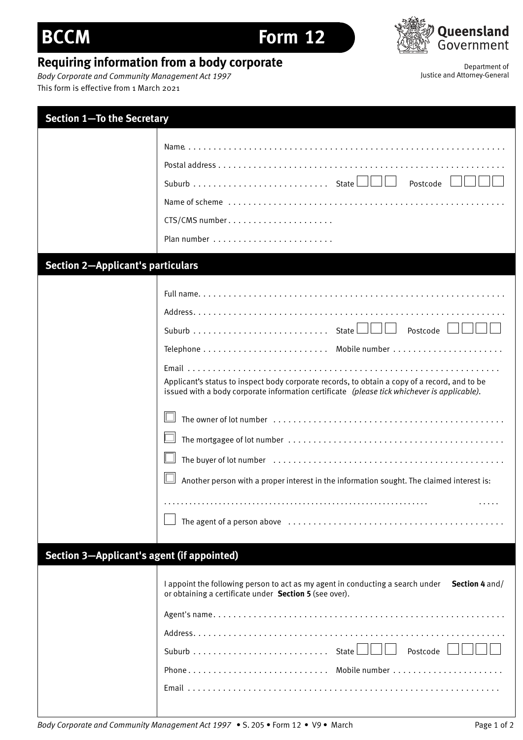## **BCCM Form 12**



## **Requiring information from a body corporate**<br>Body Corporate and Community Management Act 1997<br>Justice and Attorney-General

**Body Corporate and Community Management Act 1997** This form is effective from 1 March 2021

| <b>Section 1-To the Secretary</b>          |                                                                                                                                                                                                                                                                                                       |
|--------------------------------------------|-------------------------------------------------------------------------------------------------------------------------------------------------------------------------------------------------------------------------------------------------------------------------------------------------------|
|                                            | Postcode<br>CTS/CMS number                                                                                                                                                                                                                                                                            |
| <b>Section 2-Applicant's particulars</b>   |                                                                                                                                                                                                                                                                                                       |
|                                            | Postcode<br>Applicant's status to inspect body corporate records, to obtain a copy of a record, and to be<br>issued with a body corporate information certificate (please tick whichever is applicable).<br>Another person with a proper interest in the information sought. The claimed interest is: |
| Section 3-Applicant's agent (if appointed) | I appoint the following person to act as my agent in conducting a search under Section 4 and/<br>or obtaining a certificate under Section 5 (see over).<br>Postcode                                                                                                                                   |